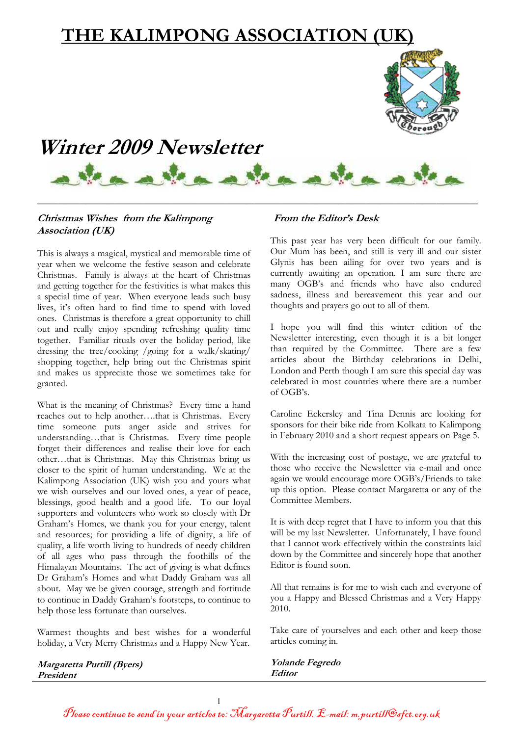# **THE KALIMPONG ASSOCIATION (UK)**



\_\_\_\_\_\_\_\_\_\_\_\_\_\_\_\_\_\_\_\_\_\_\_\_\_\_\_\_\_\_\_\_\_\_\_\_\_\_\_\_\_\_\_\_\_\_\_\_\_\_\_\_\_\_\_\_\_\_\_\_\_\_\_

### **Christmas Wishes from the Kalimpong Association (UK)**

This is always a magical, mystical and memorable time of year when we welcome the festive season and celebrate Christmas. Family is always at the heart of Christmas and getting together for the festivities is what makes this a special time of year. When everyone leads such busy lives, it's often hard to find time to spend with loved ones. Christmas is therefore a great opportunity to chill out and really enjoy spending refreshing quality time together. Familiar rituals over the holiday period, like dressing the tree/cooking /going for a walk/skating/ shopping together, help bring out the Christmas spirit and makes us appreciate those we sometimes take for granted.

What is the meaning of Christmas? Every time a hand reaches out to help another….that is Christmas. Every time someone puts anger aside and strives for understanding…that is Christmas. Every time people forget their differences and realise their love for each other…that is Christmas. May this Christmas bring us closer to the spirit of human understanding. We at the Kalimpong Association (UK) wish you and yours what we wish ourselves and our loved ones, a year of peace, blessings, good health and a good life. To our loyal supporters and volunteers who work so closely with Dr Graham's Homes, we thank you for your energy, talent and resources; for providing a life of dignity, a life of quality, a life worth living to hundreds of needy children of all ages who pass through the foothills of the Himalayan Mountains. The act of giving is what defines Dr Graham's Homes and what Daddy Graham was all about. May we be given courage, strength and fortitude to continue in Daddy Graham's footsteps, to continue to help those less fortunate than ourselves.

Warmest thoughts and best wishes for a wonderful holiday, a Very Merry Christmas and a Happy New Year.

### **From the Editor's Desk**

This past year has very been difficult for our family. Our Mum has been, and still is very ill and our sister Glynis has been ailing for over two years and is currently awaiting an operation. I am sure there are many OGB's and friends who have also endured sadness, illness and bereavement this year and our thoughts and prayers go out to all of them.

I hope you will find this winter edition of the Newsletter interesting, even though it is a bit longer than required by the Committee. There are a few articles about the Birthday celebrations in Delhi, London and Perth though I am sure this special day was celebrated in most countries where there are a number of OGB's.

Caroline Eckersley and Tina Dennis are looking for sponsors for their bike ride from Kolkata to Kalimpong in February 2010 and a short request appears on Page 5.

With the increasing cost of postage, we are grateful to those who receive the Newsletter via e-mail and once again we would encourage more OGB's/Friends to take up this option. Please contact Margaretta or any of the Committee Members.

It is with deep regret that I have to inform you that this will be my last Newsletter. Unfortunately, I have found that I cannot work effectively within the constraints laid down by the Committee and sincerely hope that another Editor is found soon.

All that remains is for me to wish each and everyone of you a Happy and Blessed Christmas and a Very Happy 2010.

Take care of yourselves and each other and keep those articles coming in.

**Yolande Fegredo Editor** 

**Margaretta Purtill (Byers) President**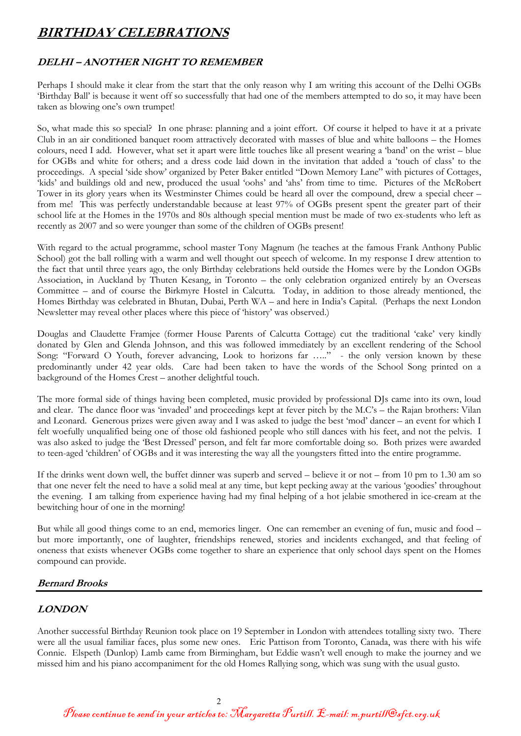# **BIRTHDAY CELEBRATIONS**

### **DELHI – ANOTHER NIGHT TO REMEMBER**

Perhaps I should make it clear from the start that the only reason why I am writing this account of the Delhi OGBs 'Birthday Ball' is because it went off so successfully that had one of the members attempted to do so, it may have been taken as blowing one's own trumpet!

So, what made this so special? In one phrase: planning and a joint effort. Of course it helped to have it at a private Club in an air conditioned banquet room attractively decorated with masses of blue and white balloons – the Homes colours, need I add. However, what set it apart were little touches like all present wearing a 'band' on the wrist – blue for OGBs and white for others; and a dress code laid down in the invitation that added a 'touch of class' to the proceedings. A special 'side show' organized by Peter Baker entitled "Down Memory Lane" with pictures of Cottages, 'kids' and buildings old and new, produced the usual 'oohs' and 'ahs' from time to time. Pictures of the McRobert Tower in its glory years when its Westminster Chimes could be heard all over the compound, drew a special cheer – from me! This was perfectly understandable because at least 97% of OGBs present spent the greater part of their school life at the Homes in the 1970s and 80s although special mention must be made of two ex-students who left as recently as 2007 and so were younger than some of the children of OGBs present!

With regard to the actual programme, school master Tony Magnum (he teaches at the famous Frank Anthony Public School) got the ball rolling with a warm and well thought out speech of welcome. In my response I drew attention to the fact that until three years ago, the only Birthday celebrations held outside the Homes were by the London OGBs Association, in Auckland by Thuten Kesang, in Toronto – the only celebration organized entirely by an Overseas Committee – and of course the Birkmyre Hostel in Calcutta. Today, in addition to those already mentioned, the Homes Birthday was celebrated in Bhutan, Dubai, Perth WA – and here in India's Capital. (Perhaps the next London Newsletter may reveal other places where this piece of 'history' was observed.)

Douglas and Claudette Framjee (former House Parents of Calcutta Cottage) cut the traditional 'cake' very kindly donated by Glen and Glenda Johnson, and this was followed immediately by an excellent rendering of the School Song: "Forward O Youth, forever advancing, Look to horizons far ….." - the only version known by these predominantly under 42 year olds. Care had been taken to have the words of the School Song printed on a background of the Homes Crest – another delightful touch.

The more formal side of things having been completed, music provided by professional DJs came into its own, loud and clear. The dance floor was 'invaded' and proceedings kept at fever pitch by the M.C's – the Rajan brothers: Vilan and Leonard. Generous prizes were given away and I was asked to judge the best 'mod' dancer – an event for which I felt woefully unqualified being one of those old fashioned people who still dances with his feet, and not the pelvis. I was also asked to judge the 'Best Dressed' person, and felt far more comfortable doing so. Both prizes were awarded to teen-aged 'children' of OGBs and it was interesting the way all the youngsters fitted into the entire programme.

If the drinks went down well, the buffet dinner was superb and served – believe it or not – from 10 pm to 1.30 am so that one never felt the need to have a solid meal at any time, but kept pecking away at the various 'goodies' throughout the evening. I am talking from experience having had my final helping of a hot jelabie smothered in ice-cream at the bewitching hour of one in the morning!

But while all good things come to an end, memories linger. One can remember an evening of fun, music and food – but more importantly, one of laughter, friendships renewed, stories and incidents exchanged, and that feeling of oneness that exists whenever OGBs come together to share an experience that only school days spent on the Homes compound can provide.

### **Bernard Brooks**

### **LONDON**

Another successful Birthday Reunion took place on 19 September in London with attendees totalling sixty two. There were all the usual familiar faces, plus some new ones. Eric Pattison from Toronto, Canada, was there with his wife Connie. Elspeth (Dunlop) Lamb came from Birmingham, but Eddie wasn't well enough to make the journey and we missed him and his piano accompaniment for the old Homes Rallying song, which was sung with the usual gusto.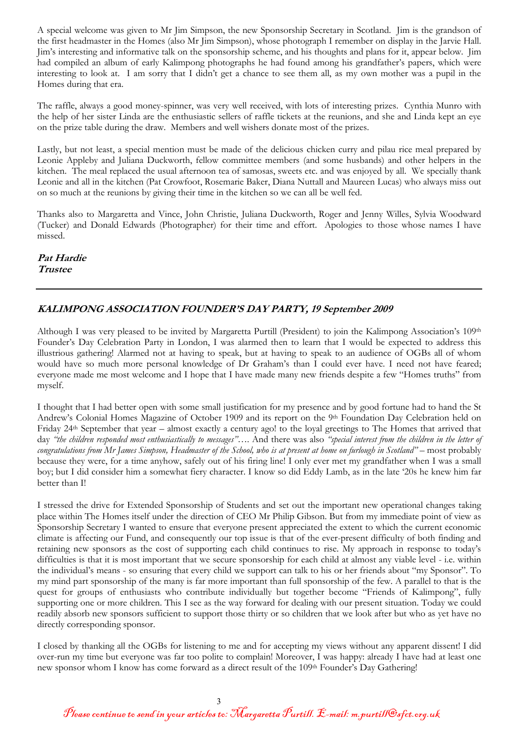A special welcome was given to Mr Jim Simpson, the new Sponsorship Secretary in Scotland. Jim is the grandson of the first headmaster in the Homes (also Mr Jim Simpson), whose photograph I remember on display in the Jarvie Hall. Jim's interesting and informative talk on the sponsorship scheme, and his thoughts and plans for it, appear below. Jim had compiled an album of early Kalimpong photographs he had found among his grandfather's papers, which were interesting to look at. I am sorry that I didn't get a chance to see them all, as my own mother was a pupil in the Homes during that era.

The raffle, always a good money-spinner, was very well received, with lots of interesting prizes. Cynthia Munro with the help of her sister Linda are the enthusiastic sellers of raffle tickets at the reunions, and she and Linda kept an eye on the prize table during the draw. Members and well wishers donate most of the prizes.

Lastly, but not least, a special mention must be made of the delicious chicken curry and pilau rice meal prepared by Leonie Appleby and Juliana Duckworth, fellow committee members (and some husbands) and other helpers in the kitchen. The meal replaced the usual afternoon tea of samosas, sweets etc. and was enjoyed by all. We specially thank Leonie and all in the kitchen (Pat Crowfoot, Rosemarie Baker, Diana Nuttall and Maureen Lucas) who always miss out on so much at the reunions by giving their time in the kitchen so we can all be well fed.

Thanks also to Margaretta and Vince, John Christie, Juliana Duckworth, Roger and Jenny Willes, Sylvia Woodward (Tucker) and Donald Edwards (Photographer) for their time and effort. Apologies to those whose names I have missed.

**Pat Hardie Trustee** 

### **KALIMPONG ASSOCIATION FOUNDER'S DAY PARTY, 19 September 2009**

Although I was very pleased to be invited by Margaretta Purtill (President) to join the Kalimpong Association's 109th Founder's Day Celebration Party in London, I was alarmed then to learn that I would be expected to address this illustrious gathering! Alarmed not at having to speak, but at having to speak to an audience of OGBs all of whom would have so much more personal knowledge of Dr Graham's than I could ever have. I need not have feared; everyone made me most welcome and I hope that I have made many new friends despite a few "Homes truths" from myself.

I thought that I had better open with some small justification for my presence and by good fortune had to hand the St Andrew's Colonial Homes Magazine of October 1909 and its report on the 9<sup>th</sup> Foundation Day Celebration held on Friday 24th September that year – almost exactly a century ago! to the loyal greetings to The Homes that arrived that day *"the children responded most enthusiastically to messages"….* And there was also *"special interest from the children in the letter of congratulations from Mr James Simpson, Headmaster of the School, who is at present at home on furlough in Scotland"* – most probably because they were, for a time anyhow, safely out of his firing line! I only ever met my grandfather when I was a small boy; but I did consider him a somewhat fiery character. I know so did Eddy Lamb, as in the late '20s he knew him far better than I!

I stressed the drive for Extended Sponsorship of Students and set out the important new operational changes taking place within The Homes itself under the direction of CEO Mr Philip Gibson. But from my immediate point of view as Sponsorship Secretary I wanted to ensure that everyone present appreciated the extent to which the current economic climate is affecting our Fund, and consequently our top issue is that of the ever-present difficulty of both finding and retaining new sponsors as the cost of supporting each child continues to rise. My approach in response to today's difficulties is that it is most important that we secure sponsorship for each child at almost any viable level - i.e. within the individual's means - so ensuring that every child we support can talk to his or her friends about "my Sponsor". To my mind part sponsorship of the many is far more important than full sponsorship of the few. A parallel to that is the quest for groups of enthusiasts who contribute individually but together become "Friends of Kalimpong", fully supporting one or more children. This I see as the way forward for dealing with our present situation. Today we could readily absorb new sponsors sufficient to support those thirty or so children that we look after but who as yet have no directly corresponding sponsor.

I closed by thanking all the OGBs for listening to me and for accepting my views without any apparent dissent! I did over-run my time but everyone was far too polite to complain! Moreover, I was happy: already I have had at least one new sponsor whom I know has come forward as a direct result of the 109th Founder's Day Gathering!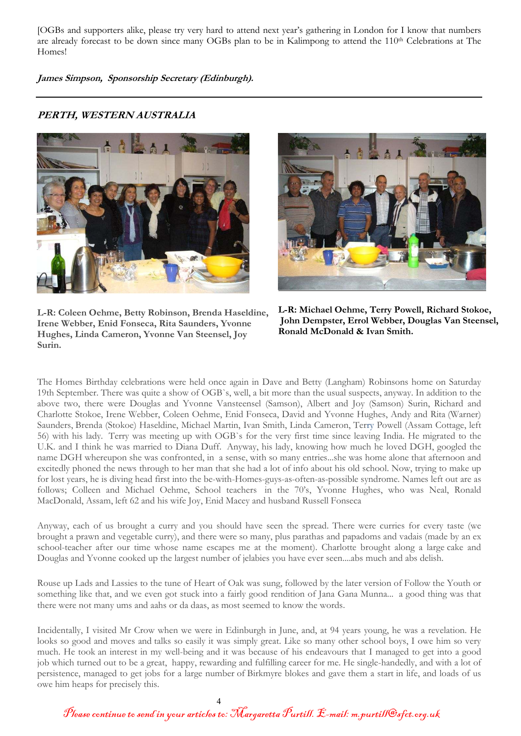[OGBs and supporters alike, please try very hard to attend next year's gathering in London for I know that numbers are already forecast to be down since many OGBs plan to be in Kalimpong to attend the 110<sup>th</sup> Celebrations at The Homes!

**James Simpson, Sponsorship Secretary (Edinburgh).** 

### **PERTH, WESTERN AUSTRALIA**





**L-R: Coleen Oehme, Betty Robinson, Brenda Haseldine, Irene Webber, Enid Fonseca, Rita Saunders, Yvonne Hughes, Linda Cameron, Yvonne Van Steensel, Joy Surin.** 

**L-R: Michael Oehme, Terry Powell, Richard Stokoe, John Dempster, Errol Webber, Douglas Van Steensel, Ronald McDonald & Ivan Smith.** 

The Homes Birthday celebrations were held once again in Dave and Betty (Langham) Robinsons home on Saturday 19th September. There was quite a show of OGB`s, well, a bit more than the usual suspects, anyway. In addition to the above two, there were Douglas and Yvonne Vansteensel (Samson), Albert and Joy (Samson) Surin, Richard and Charlotte Stokoe, Irene Webber, Coleen Oehme, Enid Fonseca, David and Yvonne Hughes, Andy and Rita (Warner) Saunders, Brenda (Stokoe) Haseldine, Michael Martin, Ivan Smith, Linda Cameron, Terry Powell (Assam Cottage, left 56) with his lady. Terry was meeting up with OGB`s for the very first time since leaving India. He migrated to the U.K. and I think he was married to Diana Duff. Anyway, his lady, knowing how much he loved DGH, googled the name DGH whereupon she was confronted, in a sense, with so many entries...she was home alone that afternoon and excitedly phoned the news through to her man that she had a lot of info about his old school. Now, trying to make up for lost years, he is diving head first into the be-with-Homes-guys-as-often-as-possible syndrome. Names left out are as follows; Colleen and Michael Oehme, School teachers in the 70's, Yvonne Hughes, who was Neal, Ronald MacDonald, Assam, left 62 and his wife Joy, Enid Macey and husband Russell Fonseca

Anyway, each of us brought a curry and you should have seen the spread. There were curries for every taste (we brought a prawn and vegetable curry), and there were so many, plus parathas and papadoms and vadais (made by an ex school-teacher after our time whose name escapes me at the moment). Charlotte brought along a large cake and Douglas and Yvonne cooked up the largest number of jelabies you have ever seen....abs much and abs delish.

Rouse up Lads and Lassies to the tune of Heart of Oak was sung, followed by the later version of Follow the Youth or something like that, and we even got stuck into a fairly good rendition of Jana Gana Munna... a good thing was that there were not many ums and aahs or da daas, as most seemed to know the words.

Incidentally, I visited Mr Crow when we were in Edinburgh in June, and, at 94 years young, he was a revelation. He looks so good and moves and talks so easily it was simply great. Like so many other school boys, I owe him so very much. He took an interest in my well-being and it was because of his endeavours that I managed to get into a good job which turned out to be a great, happy, rewarding and fulfilling career for me. He single-handedly, and with a lot of persistence, managed to get jobs for a large number of Birkmyre blokes and gave them a start in life, and loads of us owe him heaps for precisely this.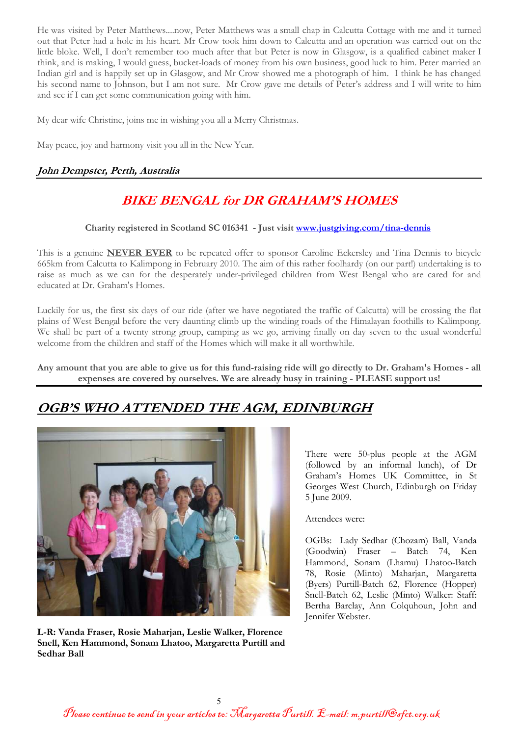He was visited by Peter Matthews....now, Peter Matthews was a small chap in Calcutta Cottage with me and it turned out that Peter had a hole in his heart. Mr Crow took him down to Calcutta and an operation was carried out on the little bloke. Well, I don't remember too much after that but Peter is now in Glasgow, is a qualified cabinet maker I think, and is making, I would guess, bucket-loads of money from his own business, good luck to him. Peter married an Indian girl and is happily set up in Glasgow, and Mr Crow showed me a photograph of him. I think he has changed his second name to Johnson, but I am not sure. Mr Crow gave me details of Peter's address and I will write to him and see if I can get some communication going with him.

My dear wife Christine, joins me in wishing you all a Merry Christmas.

May peace, joy and harmony visit you all in the New Year.

### **John Dempster, Perth, Australia**

# **BIKE BENGAL for DR GRAHAM'S HOMES**

### **Charity registered in Scotland SC 016341 - Just visit www.justgiving.com/tina-dennis**

This is a genuine **NEVER EVER** to be repeated offer to sponsor Caroline Eckersley and Tina Dennis to bicycle 665km from Calcutta to Kalimpong in February 2010. The aim of this rather foolhardy (on our part!) undertaking is to raise as much as we can for the desperately under-privileged children from West Bengal who are cared for and educated at Dr. Graham's Homes.

Luckily for us, the first six days of our ride (after we have negotiated the traffic of Calcutta) will be crossing the flat plains of West Bengal before the very daunting climb up the winding roads of the Himalayan foothills to Kalimpong. We shall be part of a twenty strong group, camping as we go, arriving finally on day seven to the usual wonderful welcome from the children and staff of the Homes which will make it all worthwhile.

**Any amount that you are able to give us for this fund-raising ride will go directly to Dr. Graham's Homes - all expenses are covered by ourselves. We are already busy in training - PLEASE support us!**

### **OGB'S WHO ATTENDED THE AGM, EDINBURGH**



**L-R: Vanda Fraser, Rosie Maharjan, Leslie Walker, Florence Snell, Ken Hammond, Sonam Lhatoo, Margaretta Purtill and Sedhar Ball** 

There were 50-plus people at the AGM (followed by an informal lunch), of Dr Graham's Homes UK Committee, in St Georges West Church, Edinburgh on Friday 5 June 2009.

Attendees were:

OGBs: Lady Sedhar (Chozam) Ball, Vanda (Goodwin) Fraser – Batch 74, Ken Hammond, Sonam (Lhamu) Lhatoo-Batch 78, Rosie (Minto) Maharjan, Margaretta (Byers) Purtill-Batch 62, Florence (Hopper) Snell-Batch 62, Leslie (Minto) Walker: Staff: Bertha Barclay, Ann Colquhoun, John and Jennifer Webster.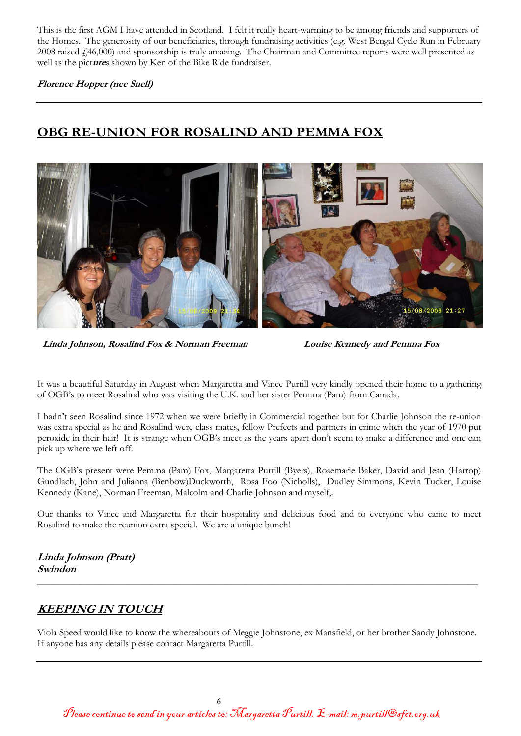This is the first AGM I have attended in Scotland. I felt it really heart-warming to be among friends and supporters of the Homes. The generosity of our beneficiaries, through fundraising activities (e.g. West Bengal Cycle Run in February 2008 raised £46,000) and sponsorship is truly amazing. The Chairman and Committee reports were well presented as well as the pict**ure**s shown by Ken of the Bike Ride fundraiser.

**Florence Hopper (nee Snell)** 

# **OBG RE-UNION FOR ROSALIND AND PEMMA FOX**



**Linda Johnson, Rosalind Fox & Norman Freeman Louise Kennedy and Pemma Fox** 

It was a beautiful Saturday in August when Margaretta and Vince Purtill very kindly opened their home to a gathering of OGB's to meet Rosalind who was visiting the U.K. and her sister Pemma (Pam) from Canada.

I hadn't seen Rosalind since 1972 when we were briefly in Commercial together but for Charlie Johnson the re-union was extra special as he and Rosalind were class mates, fellow Prefects and partners in crime when the year of 1970 put peroxide in their hair! It is strange when OGB's meet as the years apart don't seem to make a difference and one can pick up where we left off.

The OGB's present were Pemma (Pam) Fox, Margaretta Purtill (Byers), Rosemarie Baker, David and Jean (Harrop) Gundlach, John and Julianna (Benbow)Duckworth, Rosa Foo (Nicholls), Dudley Simmons, Kevin Tucker, Louise Kennedy (Kane), Norman Freeman, Malcolm and Charlie Johnson and myself,.

Our thanks to Vince and Margaretta for their hospitality and delicious food and to everyone who came to meet Rosalind to make the reunion extra special. We are a unique bunch!

**Linda Johnson (Pratt) Swindon** 

### **KEEPING IN TOUCH**

Viola Speed would like to know the whereabouts of Meggie Johnstone, ex Mansfield, or her brother Sandy Johnstone. If anyone has any details please contact Margaretta Purtill.

**\_\_\_\_\_\_\_\_\_\_\_\_\_\_\_\_\_\_\_\_\_\_\_\_\_\_\_\_\_\_\_\_\_\_\_\_\_\_\_\_\_\_\_\_\_\_\_\_\_\_\_\_\_\_\_\_\_\_\_\_\_\_\_\_\_\_\_\_\_\_\_\_\_\_\_\_\_\_\_\_\_\_\_\_**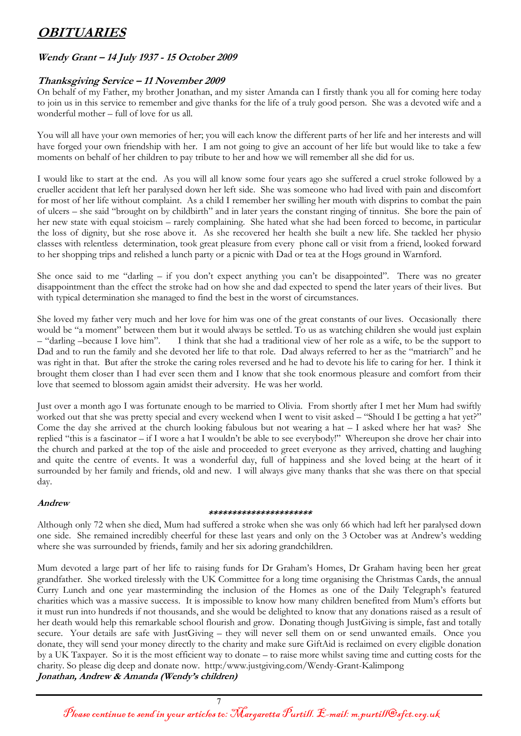# **OBITUARIES**

### **Wendy Grant – 14 July 1937 - 15 October 2009**

### **Thanksgiving Service – 11 November 2009**

On behalf of my Father, my brother Jonathan, and my sister Amanda can I firstly thank you all for coming here today to join us in this service to remember and give thanks for the life of a truly good person. She was a devoted wife and a wonderful mother – full of love for us all.

You will all have your own memories of her; you will each know the different parts of her life and her interests and will have forged your own friendship with her. I am not going to give an account of her life but would like to take a few moments on behalf of her children to pay tribute to her and how we will remember all she did for us.

I would like to start at the end. As you will all know some four years ago she suffered a cruel stroke followed by a crueller accident that left her paralysed down her left side. She was someone who had lived with pain and discomfort for most of her life without complaint. As a child I remember her swilling her mouth with disprins to combat the pain of ulcers – she said "brought on by childbirth" and in later years the constant ringing of tinnitus. She bore the pain of her new state with equal stoicism – rarely complaining. She hated what she had been forced to become, in particular the loss of dignity, but she rose above it. As she recovered her health she built a new life. She tackled her physio classes with relentless determination, took great pleasure from every phone call or visit from a friend, looked forward to her shopping trips and relished a lunch party or a picnic with Dad or tea at the Hogs ground in Warnford.

She once said to me "darling – if you don't expect anything you can't be disappointed". There was no greater disappointment than the effect the stroke had on how she and dad expected to spend the later years of their lives. But with typical determination she managed to find the best in the worst of circumstances.

She loved my father very much and her love for him was one of the great constants of our lives. Occasionally there would be "a moment" between them but it would always be settled. To us as watching children she would just explain – "darling –because I love him". I think that she had a traditional view of her role as a wife, to be the support to Dad and to run the family and she devoted her life to that role. Dad always referred to her as the "matriarch" and he was right in that. But after the stroke the caring roles reversed and he had to devote his life to caring for her. I think it brought them closer than I had ever seen them and I know that she took enormous pleasure and comfort from their love that seemed to blossom again amidst their adversity. He was her world.

Just over a month ago I was fortunate enough to be married to Olivia. From shortly after I met her Mum had swiftly worked out that she was pretty special and every weekend when I went to visit asked – "Should I be getting a hat yet?" Come the day she arrived at the church looking fabulous but not wearing a hat – I asked where her hat was? She replied "this is a fascinator – if I wore a hat I wouldn't be able to see everybody!" Whereupon she drove her chair into the church and parked at the top of the aisle and proceeded to greet everyone as they arrived, chatting and laughing and quite the centre of events. It was a wonderful day, full of happiness and she loved being at the heart of it surrounded by her family and friends, old and new. I will always give many thanks that she was there on that special day.

### **Andrew**

#### **\*\*\*\*\*\*\*\*\*\*\*\*\*\*\*\*\*\*\*\*\*\***

Although only 72 when she died, Mum had suffered a stroke when she was only 66 which had left her paralysed down one side. She remained incredibly cheerful for these last years and only on the 3 October was at Andrew's wedding where she was surrounded by friends, family and her six adoring grandchildren.

Mum devoted a large part of her life to raising funds for Dr Graham's Homes, Dr Graham having been her great grandfather. She worked tirelessly with the UK Committee for a long time organising the Christmas Cards, the annual Curry Lunch and one year masterminding the inclusion of the Homes as one of the Daily Telegraph's featured charities which was a massive success. It is impossible to know how many children benefited from Mum's efforts but it must run into hundreds if not thousands, and she would be delighted to know that any donations raised as a result of her death would help this remarkable school flourish and grow. Donating though JustGiving is simple, fast and totally secure. Your details are safe with JustGiving – they will never sell them on or send unwanted emails. Once you donate, they will send your money directly to the charity and make sure GiftAid is reclaimed on every eligible donation by a UK Taxpayer. So it is the most efficient way to donate – to raise more whilst saving time and cutting costs for the charity. So please dig deep and donate now. http:/www.justgiving.com/Wendy-Grant-Kalimpong **Jonathan, Andrew & Amanda (Wendy's children)**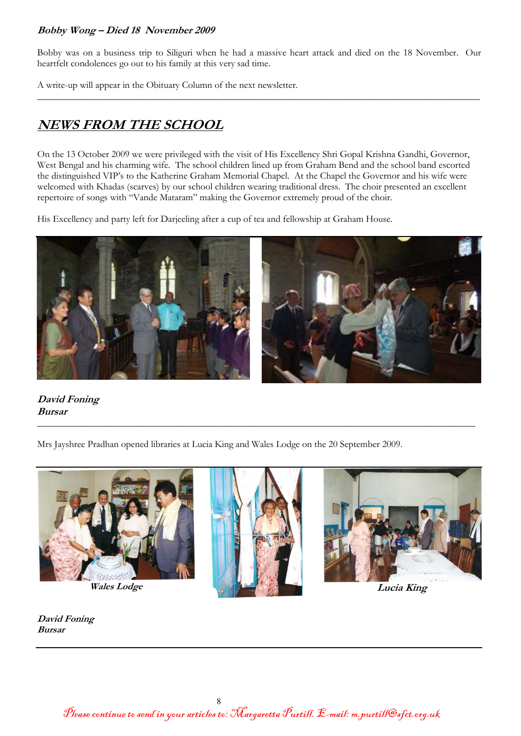### **Bobby Wong – Died 18 November 2009**

Bobby was on a business trip to Siliguri when he had a massive heart attack and died on the 18 November. Our heartfelt condolences go out to his family at this very sad time.

 $\mathcal{L}_\text{max}$  and the contract of the contract of the contract of the contract of the contract of the contract of the contract of the contract of the contract of the contract of the contract of the contract of the contrac

A write-up will appear in the Obituary Column of the next newsletter.

# **NEWS FROM THE SCHOOL**

On the 13 October 2009 we were privileged with the visit of His Excellency Shri Gopal Krishna Gandhi, Governor, West Bengal and his charming wife. The school children lined up from Graham Bend and the school band escorted the distinguished VIP's to the Katherine Graham Memorial Chapel. At the Chapel the Governor and his wife were welcomed with Khadas (scarves) by our school children wearing traditional dress. The choir presented an excellent repertoire of songs with "Vande Mataram" making the Governor extremely proud of the choir.

His Excellency and party left for Darjeeling after a cup of tea and fellowship at Graham House.



**David Foning Bursar** 

Mrs Jayshree Pradhan opened libraries at Lucia King and Wales Lodge on the 20 September 2009.



 $\mathcal{L}_\text{max}$  , and the contract of the contract of the contract of the contract of the contract of the contract of the contract of the contract of the contract of the contract of the contract of the contract of the contr

**David Foning Bursar**